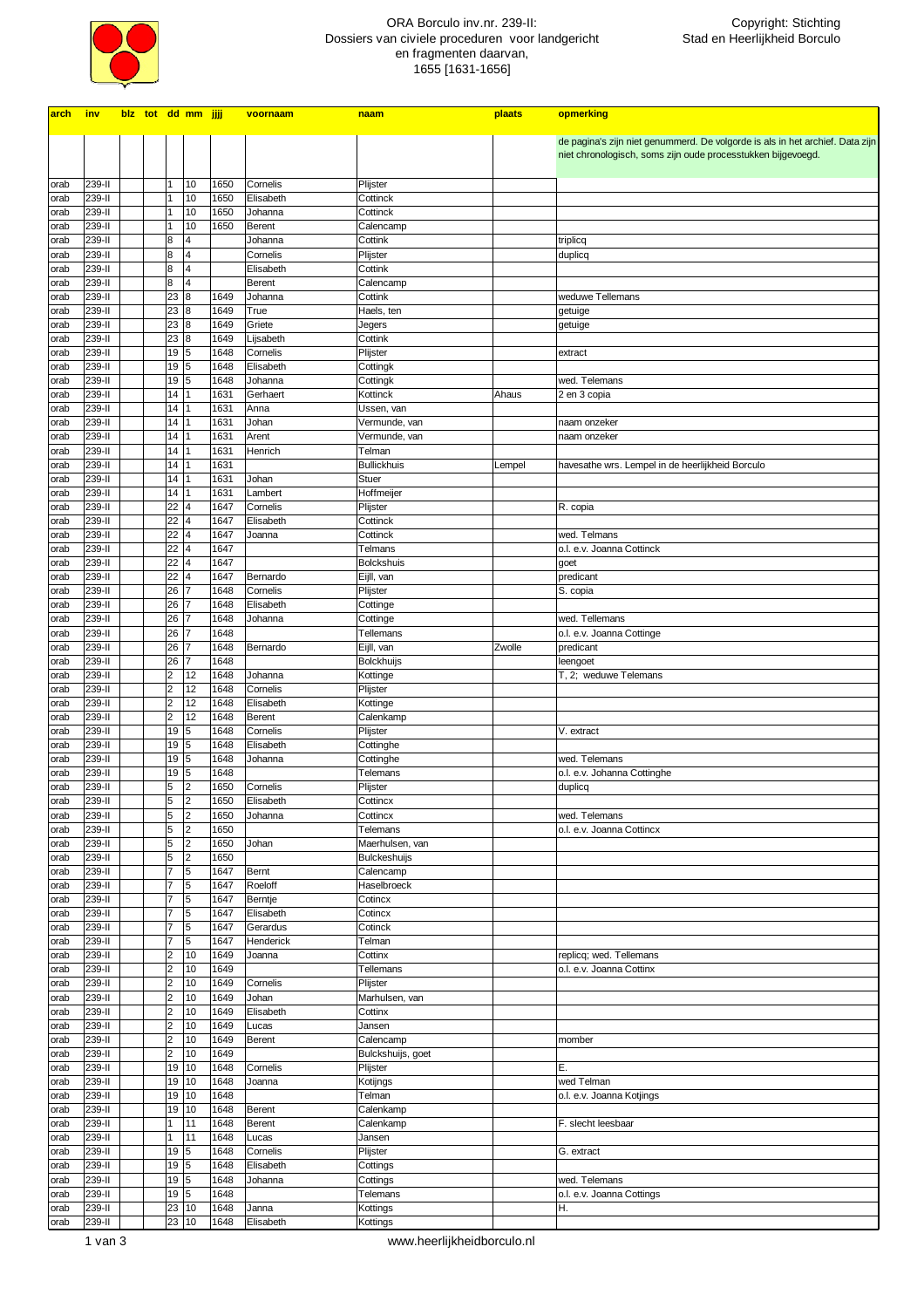

## ORA Borculo inv.nr. 239-II: Dossiers van civiele proceduren voor landgericht en fragmenten daarvan, 1655 [1631-1656]

| de pagina's zijn niet genummerd. De volgorde is als in het archief. Data zijn<br>niet chronologisch, soms zijn oude processtukken bijgevoegd.<br>10<br>1650<br>Cornelis<br>239-II<br>$\mathbf{1}$<br>Plijster<br>orab<br>10<br>239-II<br>1650<br>Elisabeth<br>Cottinck<br>orab<br>1<br>10<br>239-II<br>1650<br>1<br>Johanna<br>Cottinck<br>orab<br>10<br>1650<br>239-II<br>Berent<br>Calencamp<br>orab<br>1<br>239-II<br>8<br>$\overline{4}$<br>Johanna<br>Cottink<br>triplicq<br>orab<br>239-II<br>$\overline{4}$<br>Cornelis<br>Plijster<br>8<br>duplicq<br>orab<br>239-II<br>$\overline{4}$<br>Cottink<br>8<br>Elisabeth<br>orab<br>239-II<br>8<br>$\overline{4}$<br>Berent<br>Calencamp<br>orab<br>239-II<br>weduwe Tellemans<br>23<br>8<br>1649<br>Johanna<br>Cottink<br>orab<br>239-II<br>23<br>1649<br>8<br>True<br>Haels, ten<br>getuige<br>orab<br>239-II<br>23<br>1649<br>Griete<br>8<br>getuige<br>Jegers<br>orab<br>23<br>239-II<br>1649<br>Lijsabeth<br>Cottink<br>8<br>orab<br>19<br>239-II<br>1648<br>Cornelis<br>Plijster<br>5<br>extract<br>orab<br>19<br>239-II<br>1648<br>Elisabeth<br>Cottingk<br>5<br>orab<br>239-II<br>19<br>1648<br>Johanna<br>5<br>Cottingk<br>wed. Telemans<br>orab<br>14<br>239-II<br>1631<br>Kottinck<br>Gerhaert<br>Ahaus<br>2 en 3 copia<br>orab<br>239-II<br>14<br>1631<br>Anna<br>Ussen, van<br>orab<br>239-II<br>14<br>1631<br>Johan<br>Vermunde, van<br>naam onzeker<br>orab<br>239-II<br>14<br>1631<br>Arent<br>Vermunde, van<br>naam onzeker<br>orab<br>239-II<br>$14$   1<br>1631<br>Henrich<br>orab<br>Telman<br>239-II<br>14<br>1631<br><b>Bullickhuis</b><br>Lempel<br>havesathe wrs. Lempel in de heerlijkheid Borculo<br>orab<br>239-II<br>$14$   1<br>1631<br>orab<br>Johan<br>Stuer<br>239-II<br>14<br>1631<br>Lambert<br>Hoffmeijer<br>orab<br>22<br>239-II<br>1647<br>Plijster<br>$\overline{4}$<br>Cornelis<br>R. copia<br>orab<br>239-II<br>22<br>1647<br>Elisabeth<br>Cottinck<br>$\overline{4}$<br>orab<br>22<br>239-II<br>1647<br>Cottinck<br>$\overline{4}$<br>Joanna<br>wed. Telmans<br>orab<br>239-II<br>22<br>1647<br>$\overline{4}$<br>Telmans<br>o.l. e.v. Joanna Cottinck<br>orab<br>22<br>239-II<br>1647<br>$\overline{4}$<br><b>Bolckshuis</b><br>goet<br>orab<br>22<br>239-II<br>1647<br>Bernardo<br>Eijll, van<br>$\overline{4}$<br>predicant<br>orab<br>26<br>239-II<br>1648<br>Plijster<br>17<br>Cornelis<br>S. copia<br>orab<br>239-II<br>26<br>1648<br>Elisabeth<br>Cottinge<br>17<br>orab<br>26<br>239-II<br>1648<br>wed. Tellemans<br>Johanna<br>Cottinge<br>17<br>orab<br>239-II<br>1648<br>26<br>Tellemans<br>o.l. e.v. Joanna Cottinge<br>7<br>orab<br>239-II<br>26<br>1648<br>Eijll, van<br>Zwolle<br>Bernardo<br>predicant<br>7<br>orab<br>1648<br>239-II<br>26<br>Bolckhuijs<br>7<br>leengoet<br>orab<br>239-II<br>$\overline{\mathbf{c}}$<br>12<br>1648<br>T, 2; weduwe Telemans<br>Johanna<br>Kottinge<br>orab<br>12<br>239-II<br>$\overline{\mathbf{c}}$<br>1648<br>Cornelis<br>Plijster<br>orab<br>$\overline{\mathbf{c}}$<br>12<br>239-II<br>1648<br>Elisabeth<br>Kottinge<br>orab<br>12<br>$\overline{\mathbf{c}}$<br>239-II<br>1648<br>Berent<br>Calenkamp<br>orab<br>239-II<br>19<br>5<br>1648<br>Cornelis<br>Plijster<br>V. extract<br>orab<br>239-II<br>19<br>5<br>1648<br>Elisabeth<br>Cottinghe<br>orab<br>239-II<br>19<br>5<br>1648<br>Johanna<br>Cottinghe<br>wed. Telemans<br>orab<br>5<br>1648<br>239-II<br>19<br>o.l. e.v. Johanna Cottinghe<br>orab<br>Telemans<br>5<br>$\overline{2}$<br>239-II<br>1650<br>Cornelis<br>Plijster<br>duplicq<br>orab<br>Elisabeth<br>239-II<br>5<br> 2<br>1650<br>Cottincx<br>orab<br>5<br>2<br>239-II<br>1650<br>Johanna<br>Cottincx<br>wed. Telemans<br>orab<br>5<br>2<br>239-II<br>1650<br>Telemans<br>o.l. e.v. Joanna Cottincx<br>orab<br>239-II<br>5<br>2<br>1650<br>Maerhulsen, van<br>Johan<br>orab<br>5<br>2<br>1650<br>239-II<br>Bulckeshuijs<br>orab<br>$\overline{7}$<br>5<br>239-II<br>1647<br>Calencamp<br>Bernt<br>orab<br>$\overline{7}$<br>5<br>1647<br>Roeloff<br>239-II<br>Haselbroeck<br>orab<br>$\overline{7}$<br>5<br>239-II<br>1647<br>Berntje<br>Cotincx<br>orab<br>5<br>$\overline{7}$<br>239-II<br>1647<br>Elisabeth<br>Cotincx<br>orab<br>$\overline{7}$<br>5<br>239-II<br>1647<br>Gerardus<br>Cotinck<br>orab<br>$\overline{7}$<br>5<br>239-II<br>1647<br>Henderick<br>Telman<br>orab<br>$\overline{\mathbf{c}}$<br>239-II<br>10<br>1649<br>Cottinx<br>replicq; wed. Tellemans<br>orab<br>Joanna<br>$\overline{\mathbf{c}}$<br>1649<br>239-II<br>10<br>Tellemans<br>o.l. e.v. Joanna Cottinx<br>orab<br>$\overline{\mathbf{c}}$<br>239-II<br>10<br>1649<br>Cornelis<br>orab<br>Plijster<br>$\overline{\mathbf{c}}$<br>1649<br>Johan<br>10<br>Marhulsen, van<br>239-II<br>orab<br>$\overline{c}$<br>239-II<br>10<br>1649<br>Elisabeth<br>orab<br>Cottinx<br>$\overline{\mathbf{c}}$<br>239-II<br>10<br>1649<br>Lucas<br>Jansen<br>orab<br>$\overline{c}$<br>239-II<br>10<br>1649<br>Berent<br>Calencamp<br>momber<br>orab<br>$\overline{c}$<br>1649<br>239-II<br>10<br>Bulckshuijs, goet<br>orab<br>19 10<br>239-II<br>1648<br>Cornelis<br>E.<br>Plijster<br>orab<br>239-II<br>19 10<br>1648<br>Joanna<br>Kotijngs<br>wed Telman<br>orab<br>239-II<br>19 10<br>1648<br>Telman<br>o.l. e.v. Joanna Kotjings<br>orab<br>239-II<br>19 10<br>1648<br>Calenkamp<br>Berent<br>orab<br>239-II<br>11<br>1648<br>Berent<br>Calenkamp<br>$\mathbf{1}$<br>F. slecht leesbaar<br>orab<br>239-II<br>11<br>1648<br>1<br>Lucas<br>Jansen<br>orab<br>239-II<br>19 5<br>1648<br>Cornelis<br>Plijster<br>orab<br>G. extract<br>19 5<br>1648<br>Elisabeth<br>239-II<br>Cottings<br>orab<br>239-II<br>19 5<br>1648<br>wed. Telemans<br>Johanna<br>Cottings<br>orab<br>239-II<br>$19\overline{5}$<br>1648<br>Telemans<br>o.l. e.v. Joanna Cottings<br>orab<br>239-II<br>23 10<br>1648<br>Janna<br>Kottings<br>Η.<br>orab | arch | inv    |  | blz tot dd mm jjjj |      | voornaam  | naam     | plaats | opmerking |
|--------------------------------------------------------------------------------------------------------------------------------------------------------------------------------------------------------------------------------------------------------------------------------------------------------------------------------------------------------------------------------------------------------------------------------------------------------------------------------------------------------------------------------------------------------------------------------------------------------------------------------------------------------------------------------------------------------------------------------------------------------------------------------------------------------------------------------------------------------------------------------------------------------------------------------------------------------------------------------------------------------------------------------------------------------------------------------------------------------------------------------------------------------------------------------------------------------------------------------------------------------------------------------------------------------------------------------------------------------------------------------------------------------------------------------------------------------------------------------------------------------------------------------------------------------------------------------------------------------------------------------------------------------------------------------------------------------------------------------------------------------------------------------------------------------------------------------------------------------------------------------------------------------------------------------------------------------------------------------------------------------------------------------------------------------------------------------------------------------------------------------------------------------------------------------------------------------------------------------------------------------------------------------------------------------------------------------------------------------------------------------------------------------------------------------------------------------------------------------------------------------------------------------------------------------------------------------------------------------------------------------------------------------------------------------------------------------------------------------------------------------------------------------------------------------------------------------------------------------------------------------------------------------------------------------------------------------------------------------------------------------------------------------------------------------------------------------------------------------------------------------------------------------------------------------------------------------------------------------------------------------------------------------------------------------------------------------------------------------------------------------------------------------------------------------------------------------------------------------------------------------------------------------------------------------------------------------------------------------------------------------------------------------------------------------------------------------------------------------------------------------------------------------------------------------------------------------------------------------------------------------------------------------------------------------------------------------------------------------------------------------------------------------------------------------------------------------------------------------------------------------------------------------------------------------------------------------------------------------------------------------------------------------------------------------------------------------------------------------------------------------------------------------------------------------------------------------------------------------------------------------------------------------------------------------------------------------------------------------------------------------------------------------------------------------------------------------------------------------------------------------------------------------------------------------------------------------------------------------------------------------------------------------------------------------------------------------------------------------------------------------------------------------------------------------------------------------------------------------------------------------------------------------------------------------------------------------------------------------------------------------------------------------------------------------------------------------------------------------------------------------------------------------------------------------------------------------------------------------------------------------------------------------------------------------------------------------------------------------------------------------------------------------------------------------------------------------------------------------------------------------------------------------------------------------------------------------------------------------------------------|------|--------|--|--------------------|------|-----------|----------|--------|-----------|
|                                                                                                                                                                                                                                                                                                                                                                                                                                                                                                                                                                                                                                                                                                                                                                                                                                                                                                                                                                                                                                                                                                                                                                                                                                                                                                                                                                                                                                                                                                                                                                                                                                                                                                                                                                                                                                                                                                                                                                                                                                                                                                                                                                                                                                                                                                                                                                                                                                                                                                                                                                                                                                                                                                                                                                                                                                                                                                                                                                                                                                                                                                                                                                                                                                                                                                                                                                                                                                                                                                                                                                                                                                                                                                                                                                                                                                                                                                                                                                                                                                                                                                                                                                                                                                                                                                                                                                                                                                                                                                                                                                                                                                                                                                                                                                                                                                                                                                                                                                                                                                                                                                                                                                                                                                                                                                                                                                                                                                                                                                                                                                                                                                                                                                                                                                                                                                                                          |      |        |  |                    |      |           |          |        |           |
|                                                                                                                                                                                                                                                                                                                                                                                                                                                                                                                                                                                                                                                                                                                                                                                                                                                                                                                                                                                                                                                                                                                                                                                                                                                                                                                                                                                                                                                                                                                                                                                                                                                                                                                                                                                                                                                                                                                                                                                                                                                                                                                                                                                                                                                                                                                                                                                                                                                                                                                                                                                                                                                                                                                                                                                                                                                                                                                                                                                                                                                                                                                                                                                                                                                                                                                                                                                                                                                                                                                                                                                                                                                                                                                                                                                                                                                                                                                                                                                                                                                                                                                                                                                                                                                                                                                                                                                                                                                                                                                                                                                                                                                                                                                                                                                                                                                                                                                                                                                                                                                                                                                                                                                                                                                                                                                                                                                                                                                                                                                                                                                                                                                                                                                                                                                                                                                                          |      |        |  |                    |      |           |          |        |           |
|                                                                                                                                                                                                                                                                                                                                                                                                                                                                                                                                                                                                                                                                                                                                                                                                                                                                                                                                                                                                                                                                                                                                                                                                                                                                                                                                                                                                                                                                                                                                                                                                                                                                                                                                                                                                                                                                                                                                                                                                                                                                                                                                                                                                                                                                                                                                                                                                                                                                                                                                                                                                                                                                                                                                                                                                                                                                                                                                                                                                                                                                                                                                                                                                                                                                                                                                                                                                                                                                                                                                                                                                                                                                                                                                                                                                                                                                                                                                                                                                                                                                                                                                                                                                                                                                                                                                                                                                                                                                                                                                                                                                                                                                                                                                                                                                                                                                                                                                                                                                                                                                                                                                                                                                                                                                                                                                                                                                                                                                                                                                                                                                                                                                                                                                                                                                                                                                          |      |        |  |                    |      |           |          |        |           |
|                                                                                                                                                                                                                                                                                                                                                                                                                                                                                                                                                                                                                                                                                                                                                                                                                                                                                                                                                                                                                                                                                                                                                                                                                                                                                                                                                                                                                                                                                                                                                                                                                                                                                                                                                                                                                                                                                                                                                                                                                                                                                                                                                                                                                                                                                                                                                                                                                                                                                                                                                                                                                                                                                                                                                                                                                                                                                                                                                                                                                                                                                                                                                                                                                                                                                                                                                                                                                                                                                                                                                                                                                                                                                                                                                                                                                                                                                                                                                                                                                                                                                                                                                                                                                                                                                                                                                                                                                                                                                                                                                                                                                                                                                                                                                                                                                                                                                                                                                                                                                                                                                                                                                                                                                                                                                                                                                                                                                                                                                                                                                                                                                                                                                                                                                                                                                                                                          |      |        |  |                    |      |           |          |        |           |
|                                                                                                                                                                                                                                                                                                                                                                                                                                                                                                                                                                                                                                                                                                                                                                                                                                                                                                                                                                                                                                                                                                                                                                                                                                                                                                                                                                                                                                                                                                                                                                                                                                                                                                                                                                                                                                                                                                                                                                                                                                                                                                                                                                                                                                                                                                                                                                                                                                                                                                                                                                                                                                                                                                                                                                                                                                                                                                                                                                                                                                                                                                                                                                                                                                                                                                                                                                                                                                                                                                                                                                                                                                                                                                                                                                                                                                                                                                                                                                                                                                                                                                                                                                                                                                                                                                                                                                                                                                                                                                                                                                                                                                                                                                                                                                                                                                                                                                                                                                                                                                                                                                                                                                                                                                                                                                                                                                                                                                                                                                                                                                                                                                                                                                                                                                                                                                                                          |      |        |  |                    |      |           |          |        |           |
|                                                                                                                                                                                                                                                                                                                                                                                                                                                                                                                                                                                                                                                                                                                                                                                                                                                                                                                                                                                                                                                                                                                                                                                                                                                                                                                                                                                                                                                                                                                                                                                                                                                                                                                                                                                                                                                                                                                                                                                                                                                                                                                                                                                                                                                                                                                                                                                                                                                                                                                                                                                                                                                                                                                                                                                                                                                                                                                                                                                                                                                                                                                                                                                                                                                                                                                                                                                                                                                                                                                                                                                                                                                                                                                                                                                                                                                                                                                                                                                                                                                                                                                                                                                                                                                                                                                                                                                                                                                                                                                                                                                                                                                                                                                                                                                                                                                                                                                                                                                                                                                                                                                                                                                                                                                                                                                                                                                                                                                                                                                                                                                                                                                                                                                                                                                                                                                                          |      |        |  |                    |      |           |          |        |           |
|                                                                                                                                                                                                                                                                                                                                                                                                                                                                                                                                                                                                                                                                                                                                                                                                                                                                                                                                                                                                                                                                                                                                                                                                                                                                                                                                                                                                                                                                                                                                                                                                                                                                                                                                                                                                                                                                                                                                                                                                                                                                                                                                                                                                                                                                                                                                                                                                                                                                                                                                                                                                                                                                                                                                                                                                                                                                                                                                                                                                                                                                                                                                                                                                                                                                                                                                                                                                                                                                                                                                                                                                                                                                                                                                                                                                                                                                                                                                                                                                                                                                                                                                                                                                                                                                                                                                                                                                                                                                                                                                                                                                                                                                                                                                                                                                                                                                                                                                                                                                                                                                                                                                                                                                                                                                                                                                                                                                                                                                                                                                                                                                                                                                                                                                                                                                                                                                          |      |        |  |                    |      |           |          |        |           |
|                                                                                                                                                                                                                                                                                                                                                                                                                                                                                                                                                                                                                                                                                                                                                                                                                                                                                                                                                                                                                                                                                                                                                                                                                                                                                                                                                                                                                                                                                                                                                                                                                                                                                                                                                                                                                                                                                                                                                                                                                                                                                                                                                                                                                                                                                                                                                                                                                                                                                                                                                                                                                                                                                                                                                                                                                                                                                                                                                                                                                                                                                                                                                                                                                                                                                                                                                                                                                                                                                                                                                                                                                                                                                                                                                                                                                                                                                                                                                                                                                                                                                                                                                                                                                                                                                                                                                                                                                                                                                                                                                                                                                                                                                                                                                                                                                                                                                                                                                                                                                                                                                                                                                                                                                                                                                                                                                                                                                                                                                                                                                                                                                                                                                                                                                                                                                                                                          |      |        |  |                    |      |           |          |        |           |
|                                                                                                                                                                                                                                                                                                                                                                                                                                                                                                                                                                                                                                                                                                                                                                                                                                                                                                                                                                                                                                                                                                                                                                                                                                                                                                                                                                                                                                                                                                                                                                                                                                                                                                                                                                                                                                                                                                                                                                                                                                                                                                                                                                                                                                                                                                                                                                                                                                                                                                                                                                                                                                                                                                                                                                                                                                                                                                                                                                                                                                                                                                                                                                                                                                                                                                                                                                                                                                                                                                                                                                                                                                                                                                                                                                                                                                                                                                                                                                                                                                                                                                                                                                                                                                                                                                                                                                                                                                                                                                                                                                                                                                                                                                                                                                                                                                                                                                                                                                                                                                                                                                                                                                                                                                                                                                                                                                                                                                                                                                                                                                                                                                                                                                                                                                                                                                                                          |      |        |  |                    |      |           |          |        |           |
|                                                                                                                                                                                                                                                                                                                                                                                                                                                                                                                                                                                                                                                                                                                                                                                                                                                                                                                                                                                                                                                                                                                                                                                                                                                                                                                                                                                                                                                                                                                                                                                                                                                                                                                                                                                                                                                                                                                                                                                                                                                                                                                                                                                                                                                                                                                                                                                                                                                                                                                                                                                                                                                                                                                                                                                                                                                                                                                                                                                                                                                                                                                                                                                                                                                                                                                                                                                                                                                                                                                                                                                                                                                                                                                                                                                                                                                                                                                                                                                                                                                                                                                                                                                                                                                                                                                                                                                                                                                                                                                                                                                                                                                                                                                                                                                                                                                                                                                                                                                                                                                                                                                                                                                                                                                                                                                                                                                                                                                                                                                                                                                                                                                                                                                                                                                                                                                                          |      |        |  |                    |      |           |          |        |           |
|                                                                                                                                                                                                                                                                                                                                                                                                                                                                                                                                                                                                                                                                                                                                                                                                                                                                                                                                                                                                                                                                                                                                                                                                                                                                                                                                                                                                                                                                                                                                                                                                                                                                                                                                                                                                                                                                                                                                                                                                                                                                                                                                                                                                                                                                                                                                                                                                                                                                                                                                                                                                                                                                                                                                                                                                                                                                                                                                                                                                                                                                                                                                                                                                                                                                                                                                                                                                                                                                                                                                                                                                                                                                                                                                                                                                                                                                                                                                                                                                                                                                                                                                                                                                                                                                                                                                                                                                                                                                                                                                                                                                                                                                                                                                                                                                                                                                                                                                                                                                                                                                                                                                                                                                                                                                                                                                                                                                                                                                                                                                                                                                                                                                                                                                                                                                                                                                          |      |        |  |                    |      |           |          |        |           |
|                                                                                                                                                                                                                                                                                                                                                                                                                                                                                                                                                                                                                                                                                                                                                                                                                                                                                                                                                                                                                                                                                                                                                                                                                                                                                                                                                                                                                                                                                                                                                                                                                                                                                                                                                                                                                                                                                                                                                                                                                                                                                                                                                                                                                                                                                                                                                                                                                                                                                                                                                                                                                                                                                                                                                                                                                                                                                                                                                                                                                                                                                                                                                                                                                                                                                                                                                                                                                                                                                                                                                                                                                                                                                                                                                                                                                                                                                                                                                                                                                                                                                                                                                                                                                                                                                                                                                                                                                                                                                                                                                                                                                                                                                                                                                                                                                                                                                                                                                                                                                                                                                                                                                                                                                                                                                                                                                                                                                                                                                                                                                                                                                                                                                                                                                                                                                                                                          |      |        |  |                    |      |           |          |        |           |
|                                                                                                                                                                                                                                                                                                                                                                                                                                                                                                                                                                                                                                                                                                                                                                                                                                                                                                                                                                                                                                                                                                                                                                                                                                                                                                                                                                                                                                                                                                                                                                                                                                                                                                                                                                                                                                                                                                                                                                                                                                                                                                                                                                                                                                                                                                                                                                                                                                                                                                                                                                                                                                                                                                                                                                                                                                                                                                                                                                                                                                                                                                                                                                                                                                                                                                                                                                                                                                                                                                                                                                                                                                                                                                                                                                                                                                                                                                                                                                                                                                                                                                                                                                                                                                                                                                                                                                                                                                                                                                                                                                                                                                                                                                                                                                                                                                                                                                                                                                                                                                                                                                                                                                                                                                                                                                                                                                                                                                                                                                                                                                                                                                                                                                                                                                                                                                                                          |      |        |  |                    |      |           |          |        |           |
|                                                                                                                                                                                                                                                                                                                                                                                                                                                                                                                                                                                                                                                                                                                                                                                                                                                                                                                                                                                                                                                                                                                                                                                                                                                                                                                                                                                                                                                                                                                                                                                                                                                                                                                                                                                                                                                                                                                                                                                                                                                                                                                                                                                                                                                                                                                                                                                                                                                                                                                                                                                                                                                                                                                                                                                                                                                                                                                                                                                                                                                                                                                                                                                                                                                                                                                                                                                                                                                                                                                                                                                                                                                                                                                                                                                                                                                                                                                                                                                                                                                                                                                                                                                                                                                                                                                                                                                                                                                                                                                                                                                                                                                                                                                                                                                                                                                                                                                                                                                                                                                                                                                                                                                                                                                                                                                                                                                                                                                                                                                                                                                                                                                                                                                                                                                                                                                                          |      |        |  |                    |      |           |          |        |           |
|                                                                                                                                                                                                                                                                                                                                                                                                                                                                                                                                                                                                                                                                                                                                                                                                                                                                                                                                                                                                                                                                                                                                                                                                                                                                                                                                                                                                                                                                                                                                                                                                                                                                                                                                                                                                                                                                                                                                                                                                                                                                                                                                                                                                                                                                                                                                                                                                                                                                                                                                                                                                                                                                                                                                                                                                                                                                                                                                                                                                                                                                                                                                                                                                                                                                                                                                                                                                                                                                                                                                                                                                                                                                                                                                                                                                                                                                                                                                                                                                                                                                                                                                                                                                                                                                                                                                                                                                                                                                                                                                                                                                                                                                                                                                                                                                                                                                                                                                                                                                                                                                                                                                                                                                                                                                                                                                                                                                                                                                                                                                                                                                                                                                                                                                                                                                                                                                          |      |        |  |                    |      |           |          |        |           |
|                                                                                                                                                                                                                                                                                                                                                                                                                                                                                                                                                                                                                                                                                                                                                                                                                                                                                                                                                                                                                                                                                                                                                                                                                                                                                                                                                                                                                                                                                                                                                                                                                                                                                                                                                                                                                                                                                                                                                                                                                                                                                                                                                                                                                                                                                                                                                                                                                                                                                                                                                                                                                                                                                                                                                                                                                                                                                                                                                                                                                                                                                                                                                                                                                                                                                                                                                                                                                                                                                                                                                                                                                                                                                                                                                                                                                                                                                                                                                                                                                                                                                                                                                                                                                                                                                                                                                                                                                                                                                                                                                                                                                                                                                                                                                                                                                                                                                                                                                                                                                                                                                                                                                                                                                                                                                                                                                                                                                                                                                                                                                                                                                                                                                                                                                                                                                                                                          |      |        |  |                    |      |           |          |        |           |
|                                                                                                                                                                                                                                                                                                                                                                                                                                                                                                                                                                                                                                                                                                                                                                                                                                                                                                                                                                                                                                                                                                                                                                                                                                                                                                                                                                                                                                                                                                                                                                                                                                                                                                                                                                                                                                                                                                                                                                                                                                                                                                                                                                                                                                                                                                                                                                                                                                                                                                                                                                                                                                                                                                                                                                                                                                                                                                                                                                                                                                                                                                                                                                                                                                                                                                                                                                                                                                                                                                                                                                                                                                                                                                                                                                                                                                                                                                                                                                                                                                                                                                                                                                                                                                                                                                                                                                                                                                                                                                                                                                                                                                                                                                                                                                                                                                                                                                                                                                                                                                                                                                                                                                                                                                                                                                                                                                                                                                                                                                                                                                                                                                                                                                                                                                                                                                                                          |      |        |  |                    |      |           |          |        |           |
|                                                                                                                                                                                                                                                                                                                                                                                                                                                                                                                                                                                                                                                                                                                                                                                                                                                                                                                                                                                                                                                                                                                                                                                                                                                                                                                                                                                                                                                                                                                                                                                                                                                                                                                                                                                                                                                                                                                                                                                                                                                                                                                                                                                                                                                                                                                                                                                                                                                                                                                                                                                                                                                                                                                                                                                                                                                                                                                                                                                                                                                                                                                                                                                                                                                                                                                                                                                                                                                                                                                                                                                                                                                                                                                                                                                                                                                                                                                                                                                                                                                                                                                                                                                                                                                                                                                                                                                                                                                                                                                                                                                                                                                                                                                                                                                                                                                                                                                                                                                                                                                                                                                                                                                                                                                                                                                                                                                                                                                                                                                                                                                                                                                                                                                                                                                                                                                                          |      |        |  |                    |      |           |          |        |           |
|                                                                                                                                                                                                                                                                                                                                                                                                                                                                                                                                                                                                                                                                                                                                                                                                                                                                                                                                                                                                                                                                                                                                                                                                                                                                                                                                                                                                                                                                                                                                                                                                                                                                                                                                                                                                                                                                                                                                                                                                                                                                                                                                                                                                                                                                                                                                                                                                                                                                                                                                                                                                                                                                                                                                                                                                                                                                                                                                                                                                                                                                                                                                                                                                                                                                                                                                                                                                                                                                                                                                                                                                                                                                                                                                                                                                                                                                                                                                                                                                                                                                                                                                                                                                                                                                                                                                                                                                                                                                                                                                                                                                                                                                                                                                                                                                                                                                                                                                                                                                                                                                                                                                                                                                                                                                                                                                                                                                                                                                                                                                                                                                                                                                                                                                                                                                                                                                          |      |        |  |                    |      |           |          |        |           |
|                                                                                                                                                                                                                                                                                                                                                                                                                                                                                                                                                                                                                                                                                                                                                                                                                                                                                                                                                                                                                                                                                                                                                                                                                                                                                                                                                                                                                                                                                                                                                                                                                                                                                                                                                                                                                                                                                                                                                                                                                                                                                                                                                                                                                                                                                                                                                                                                                                                                                                                                                                                                                                                                                                                                                                                                                                                                                                                                                                                                                                                                                                                                                                                                                                                                                                                                                                                                                                                                                                                                                                                                                                                                                                                                                                                                                                                                                                                                                                                                                                                                                                                                                                                                                                                                                                                                                                                                                                                                                                                                                                                                                                                                                                                                                                                                                                                                                                                                                                                                                                                                                                                                                                                                                                                                                                                                                                                                                                                                                                                                                                                                                                                                                                                                                                                                                                                                          |      |        |  |                    |      |           |          |        |           |
|                                                                                                                                                                                                                                                                                                                                                                                                                                                                                                                                                                                                                                                                                                                                                                                                                                                                                                                                                                                                                                                                                                                                                                                                                                                                                                                                                                                                                                                                                                                                                                                                                                                                                                                                                                                                                                                                                                                                                                                                                                                                                                                                                                                                                                                                                                                                                                                                                                                                                                                                                                                                                                                                                                                                                                                                                                                                                                                                                                                                                                                                                                                                                                                                                                                                                                                                                                                                                                                                                                                                                                                                                                                                                                                                                                                                                                                                                                                                                                                                                                                                                                                                                                                                                                                                                                                                                                                                                                                                                                                                                                                                                                                                                                                                                                                                                                                                                                                                                                                                                                                                                                                                                                                                                                                                                                                                                                                                                                                                                                                                                                                                                                                                                                                                                                                                                                                                          |      |        |  |                    |      |           |          |        |           |
|                                                                                                                                                                                                                                                                                                                                                                                                                                                                                                                                                                                                                                                                                                                                                                                                                                                                                                                                                                                                                                                                                                                                                                                                                                                                                                                                                                                                                                                                                                                                                                                                                                                                                                                                                                                                                                                                                                                                                                                                                                                                                                                                                                                                                                                                                                                                                                                                                                                                                                                                                                                                                                                                                                                                                                                                                                                                                                                                                                                                                                                                                                                                                                                                                                                                                                                                                                                                                                                                                                                                                                                                                                                                                                                                                                                                                                                                                                                                                                                                                                                                                                                                                                                                                                                                                                                                                                                                                                                                                                                                                                                                                                                                                                                                                                                                                                                                                                                                                                                                                                                                                                                                                                                                                                                                                                                                                                                                                                                                                                                                                                                                                                                                                                                                                                                                                                                                          |      |        |  |                    |      |           |          |        |           |
|                                                                                                                                                                                                                                                                                                                                                                                                                                                                                                                                                                                                                                                                                                                                                                                                                                                                                                                                                                                                                                                                                                                                                                                                                                                                                                                                                                                                                                                                                                                                                                                                                                                                                                                                                                                                                                                                                                                                                                                                                                                                                                                                                                                                                                                                                                                                                                                                                                                                                                                                                                                                                                                                                                                                                                                                                                                                                                                                                                                                                                                                                                                                                                                                                                                                                                                                                                                                                                                                                                                                                                                                                                                                                                                                                                                                                                                                                                                                                                                                                                                                                                                                                                                                                                                                                                                                                                                                                                                                                                                                                                                                                                                                                                                                                                                                                                                                                                                                                                                                                                                                                                                                                                                                                                                                                                                                                                                                                                                                                                                                                                                                                                                                                                                                                                                                                                                                          |      |        |  |                    |      |           |          |        |           |
|                                                                                                                                                                                                                                                                                                                                                                                                                                                                                                                                                                                                                                                                                                                                                                                                                                                                                                                                                                                                                                                                                                                                                                                                                                                                                                                                                                                                                                                                                                                                                                                                                                                                                                                                                                                                                                                                                                                                                                                                                                                                                                                                                                                                                                                                                                                                                                                                                                                                                                                                                                                                                                                                                                                                                                                                                                                                                                                                                                                                                                                                                                                                                                                                                                                                                                                                                                                                                                                                                                                                                                                                                                                                                                                                                                                                                                                                                                                                                                                                                                                                                                                                                                                                                                                                                                                                                                                                                                                                                                                                                                                                                                                                                                                                                                                                                                                                                                                                                                                                                                                                                                                                                                                                                                                                                                                                                                                                                                                                                                                                                                                                                                                                                                                                                                                                                                                                          |      |        |  |                    |      |           |          |        |           |
|                                                                                                                                                                                                                                                                                                                                                                                                                                                                                                                                                                                                                                                                                                                                                                                                                                                                                                                                                                                                                                                                                                                                                                                                                                                                                                                                                                                                                                                                                                                                                                                                                                                                                                                                                                                                                                                                                                                                                                                                                                                                                                                                                                                                                                                                                                                                                                                                                                                                                                                                                                                                                                                                                                                                                                                                                                                                                                                                                                                                                                                                                                                                                                                                                                                                                                                                                                                                                                                                                                                                                                                                                                                                                                                                                                                                                                                                                                                                                                                                                                                                                                                                                                                                                                                                                                                                                                                                                                                                                                                                                                                                                                                                                                                                                                                                                                                                                                                                                                                                                                                                                                                                                                                                                                                                                                                                                                                                                                                                                                                                                                                                                                                                                                                                                                                                                                                                          |      |        |  |                    |      |           |          |        |           |
|                                                                                                                                                                                                                                                                                                                                                                                                                                                                                                                                                                                                                                                                                                                                                                                                                                                                                                                                                                                                                                                                                                                                                                                                                                                                                                                                                                                                                                                                                                                                                                                                                                                                                                                                                                                                                                                                                                                                                                                                                                                                                                                                                                                                                                                                                                                                                                                                                                                                                                                                                                                                                                                                                                                                                                                                                                                                                                                                                                                                                                                                                                                                                                                                                                                                                                                                                                                                                                                                                                                                                                                                                                                                                                                                                                                                                                                                                                                                                                                                                                                                                                                                                                                                                                                                                                                                                                                                                                                                                                                                                                                                                                                                                                                                                                                                                                                                                                                                                                                                                                                                                                                                                                                                                                                                                                                                                                                                                                                                                                                                                                                                                                                                                                                                                                                                                                                                          |      |        |  |                    |      |           |          |        |           |
|                                                                                                                                                                                                                                                                                                                                                                                                                                                                                                                                                                                                                                                                                                                                                                                                                                                                                                                                                                                                                                                                                                                                                                                                                                                                                                                                                                                                                                                                                                                                                                                                                                                                                                                                                                                                                                                                                                                                                                                                                                                                                                                                                                                                                                                                                                                                                                                                                                                                                                                                                                                                                                                                                                                                                                                                                                                                                                                                                                                                                                                                                                                                                                                                                                                                                                                                                                                                                                                                                                                                                                                                                                                                                                                                                                                                                                                                                                                                                                                                                                                                                                                                                                                                                                                                                                                                                                                                                                                                                                                                                                                                                                                                                                                                                                                                                                                                                                                                                                                                                                                                                                                                                                                                                                                                                                                                                                                                                                                                                                                                                                                                                                                                                                                                                                                                                                                                          |      |        |  |                    |      |           |          |        |           |
|                                                                                                                                                                                                                                                                                                                                                                                                                                                                                                                                                                                                                                                                                                                                                                                                                                                                                                                                                                                                                                                                                                                                                                                                                                                                                                                                                                                                                                                                                                                                                                                                                                                                                                                                                                                                                                                                                                                                                                                                                                                                                                                                                                                                                                                                                                                                                                                                                                                                                                                                                                                                                                                                                                                                                                                                                                                                                                                                                                                                                                                                                                                                                                                                                                                                                                                                                                                                                                                                                                                                                                                                                                                                                                                                                                                                                                                                                                                                                                                                                                                                                                                                                                                                                                                                                                                                                                                                                                                                                                                                                                                                                                                                                                                                                                                                                                                                                                                                                                                                                                                                                                                                                                                                                                                                                                                                                                                                                                                                                                                                                                                                                                                                                                                                                                                                                                                                          |      |        |  |                    |      |           |          |        |           |
|                                                                                                                                                                                                                                                                                                                                                                                                                                                                                                                                                                                                                                                                                                                                                                                                                                                                                                                                                                                                                                                                                                                                                                                                                                                                                                                                                                                                                                                                                                                                                                                                                                                                                                                                                                                                                                                                                                                                                                                                                                                                                                                                                                                                                                                                                                                                                                                                                                                                                                                                                                                                                                                                                                                                                                                                                                                                                                                                                                                                                                                                                                                                                                                                                                                                                                                                                                                                                                                                                                                                                                                                                                                                                                                                                                                                                                                                                                                                                                                                                                                                                                                                                                                                                                                                                                                                                                                                                                                                                                                                                                                                                                                                                                                                                                                                                                                                                                                                                                                                                                                                                                                                                                                                                                                                                                                                                                                                                                                                                                                                                                                                                                                                                                                                                                                                                                                                          |      |        |  |                    |      |           |          |        |           |
|                                                                                                                                                                                                                                                                                                                                                                                                                                                                                                                                                                                                                                                                                                                                                                                                                                                                                                                                                                                                                                                                                                                                                                                                                                                                                                                                                                                                                                                                                                                                                                                                                                                                                                                                                                                                                                                                                                                                                                                                                                                                                                                                                                                                                                                                                                                                                                                                                                                                                                                                                                                                                                                                                                                                                                                                                                                                                                                                                                                                                                                                                                                                                                                                                                                                                                                                                                                                                                                                                                                                                                                                                                                                                                                                                                                                                                                                                                                                                                                                                                                                                                                                                                                                                                                                                                                                                                                                                                                                                                                                                                                                                                                                                                                                                                                                                                                                                                                                                                                                                                                                                                                                                                                                                                                                                                                                                                                                                                                                                                                                                                                                                                                                                                                                                                                                                                                                          |      |        |  |                    |      |           |          |        |           |
|                                                                                                                                                                                                                                                                                                                                                                                                                                                                                                                                                                                                                                                                                                                                                                                                                                                                                                                                                                                                                                                                                                                                                                                                                                                                                                                                                                                                                                                                                                                                                                                                                                                                                                                                                                                                                                                                                                                                                                                                                                                                                                                                                                                                                                                                                                                                                                                                                                                                                                                                                                                                                                                                                                                                                                                                                                                                                                                                                                                                                                                                                                                                                                                                                                                                                                                                                                                                                                                                                                                                                                                                                                                                                                                                                                                                                                                                                                                                                                                                                                                                                                                                                                                                                                                                                                                                                                                                                                                                                                                                                                                                                                                                                                                                                                                                                                                                                                                                                                                                                                                                                                                                                                                                                                                                                                                                                                                                                                                                                                                                                                                                                                                                                                                                                                                                                                                                          |      |        |  |                    |      |           |          |        |           |
|                                                                                                                                                                                                                                                                                                                                                                                                                                                                                                                                                                                                                                                                                                                                                                                                                                                                                                                                                                                                                                                                                                                                                                                                                                                                                                                                                                                                                                                                                                                                                                                                                                                                                                                                                                                                                                                                                                                                                                                                                                                                                                                                                                                                                                                                                                                                                                                                                                                                                                                                                                                                                                                                                                                                                                                                                                                                                                                                                                                                                                                                                                                                                                                                                                                                                                                                                                                                                                                                                                                                                                                                                                                                                                                                                                                                                                                                                                                                                                                                                                                                                                                                                                                                                                                                                                                                                                                                                                                                                                                                                                                                                                                                                                                                                                                                                                                                                                                                                                                                                                                                                                                                                                                                                                                                                                                                                                                                                                                                                                                                                                                                                                                                                                                                                                                                                                                                          |      |        |  |                    |      |           |          |        |           |
|                                                                                                                                                                                                                                                                                                                                                                                                                                                                                                                                                                                                                                                                                                                                                                                                                                                                                                                                                                                                                                                                                                                                                                                                                                                                                                                                                                                                                                                                                                                                                                                                                                                                                                                                                                                                                                                                                                                                                                                                                                                                                                                                                                                                                                                                                                                                                                                                                                                                                                                                                                                                                                                                                                                                                                                                                                                                                                                                                                                                                                                                                                                                                                                                                                                                                                                                                                                                                                                                                                                                                                                                                                                                                                                                                                                                                                                                                                                                                                                                                                                                                                                                                                                                                                                                                                                                                                                                                                                                                                                                                                                                                                                                                                                                                                                                                                                                                                                                                                                                                                                                                                                                                                                                                                                                                                                                                                                                                                                                                                                                                                                                                                                                                                                                                                                                                                                                          |      |        |  |                    |      |           |          |        |           |
|                                                                                                                                                                                                                                                                                                                                                                                                                                                                                                                                                                                                                                                                                                                                                                                                                                                                                                                                                                                                                                                                                                                                                                                                                                                                                                                                                                                                                                                                                                                                                                                                                                                                                                                                                                                                                                                                                                                                                                                                                                                                                                                                                                                                                                                                                                                                                                                                                                                                                                                                                                                                                                                                                                                                                                                                                                                                                                                                                                                                                                                                                                                                                                                                                                                                                                                                                                                                                                                                                                                                                                                                                                                                                                                                                                                                                                                                                                                                                                                                                                                                                                                                                                                                                                                                                                                                                                                                                                                                                                                                                                                                                                                                                                                                                                                                                                                                                                                                                                                                                                                                                                                                                                                                                                                                                                                                                                                                                                                                                                                                                                                                                                                                                                                                                                                                                                                                          |      |        |  |                    |      |           |          |        |           |
|                                                                                                                                                                                                                                                                                                                                                                                                                                                                                                                                                                                                                                                                                                                                                                                                                                                                                                                                                                                                                                                                                                                                                                                                                                                                                                                                                                                                                                                                                                                                                                                                                                                                                                                                                                                                                                                                                                                                                                                                                                                                                                                                                                                                                                                                                                                                                                                                                                                                                                                                                                                                                                                                                                                                                                                                                                                                                                                                                                                                                                                                                                                                                                                                                                                                                                                                                                                                                                                                                                                                                                                                                                                                                                                                                                                                                                                                                                                                                                                                                                                                                                                                                                                                                                                                                                                                                                                                                                                                                                                                                                                                                                                                                                                                                                                                                                                                                                                                                                                                                                                                                                                                                                                                                                                                                                                                                                                                                                                                                                                                                                                                                                                                                                                                                                                                                                                                          |      |        |  |                    |      |           |          |        |           |
|                                                                                                                                                                                                                                                                                                                                                                                                                                                                                                                                                                                                                                                                                                                                                                                                                                                                                                                                                                                                                                                                                                                                                                                                                                                                                                                                                                                                                                                                                                                                                                                                                                                                                                                                                                                                                                                                                                                                                                                                                                                                                                                                                                                                                                                                                                                                                                                                                                                                                                                                                                                                                                                                                                                                                                                                                                                                                                                                                                                                                                                                                                                                                                                                                                                                                                                                                                                                                                                                                                                                                                                                                                                                                                                                                                                                                                                                                                                                                                                                                                                                                                                                                                                                                                                                                                                                                                                                                                                                                                                                                                                                                                                                                                                                                                                                                                                                                                                                                                                                                                                                                                                                                                                                                                                                                                                                                                                                                                                                                                                                                                                                                                                                                                                                                                                                                                                                          |      |        |  |                    |      |           |          |        |           |
|                                                                                                                                                                                                                                                                                                                                                                                                                                                                                                                                                                                                                                                                                                                                                                                                                                                                                                                                                                                                                                                                                                                                                                                                                                                                                                                                                                                                                                                                                                                                                                                                                                                                                                                                                                                                                                                                                                                                                                                                                                                                                                                                                                                                                                                                                                                                                                                                                                                                                                                                                                                                                                                                                                                                                                                                                                                                                                                                                                                                                                                                                                                                                                                                                                                                                                                                                                                                                                                                                                                                                                                                                                                                                                                                                                                                                                                                                                                                                                                                                                                                                                                                                                                                                                                                                                                                                                                                                                                                                                                                                                                                                                                                                                                                                                                                                                                                                                                                                                                                                                                                                                                                                                                                                                                                                                                                                                                                                                                                                                                                                                                                                                                                                                                                                                                                                                                                          |      |        |  |                    |      |           |          |        |           |
|                                                                                                                                                                                                                                                                                                                                                                                                                                                                                                                                                                                                                                                                                                                                                                                                                                                                                                                                                                                                                                                                                                                                                                                                                                                                                                                                                                                                                                                                                                                                                                                                                                                                                                                                                                                                                                                                                                                                                                                                                                                                                                                                                                                                                                                                                                                                                                                                                                                                                                                                                                                                                                                                                                                                                                                                                                                                                                                                                                                                                                                                                                                                                                                                                                                                                                                                                                                                                                                                                                                                                                                                                                                                                                                                                                                                                                                                                                                                                                                                                                                                                                                                                                                                                                                                                                                                                                                                                                                                                                                                                                                                                                                                                                                                                                                                                                                                                                                                                                                                                                                                                                                                                                                                                                                                                                                                                                                                                                                                                                                                                                                                                                                                                                                                                                                                                                                                          |      |        |  |                    |      |           |          |        |           |
|                                                                                                                                                                                                                                                                                                                                                                                                                                                                                                                                                                                                                                                                                                                                                                                                                                                                                                                                                                                                                                                                                                                                                                                                                                                                                                                                                                                                                                                                                                                                                                                                                                                                                                                                                                                                                                                                                                                                                                                                                                                                                                                                                                                                                                                                                                                                                                                                                                                                                                                                                                                                                                                                                                                                                                                                                                                                                                                                                                                                                                                                                                                                                                                                                                                                                                                                                                                                                                                                                                                                                                                                                                                                                                                                                                                                                                                                                                                                                                                                                                                                                                                                                                                                                                                                                                                                                                                                                                                                                                                                                                                                                                                                                                                                                                                                                                                                                                                                                                                                                                                                                                                                                                                                                                                                                                                                                                                                                                                                                                                                                                                                                                                                                                                                                                                                                                                                          |      |        |  |                    |      |           |          |        |           |
|                                                                                                                                                                                                                                                                                                                                                                                                                                                                                                                                                                                                                                                                                                                                                                                                                                                                                                                                                                                                                                                                                                                                                                                                                                                                                                                                                                                                                                                                                                                                                                                                                                                                                                                                                                                                                                                                                                                                                                                                                                                                                                                                                                                                                                                                                                                                                                                                                                                                                                                                                                                                                                                                                                                                                                                                                                                                                                                                                                                                                                                                                                                                                                                                                                                                                                                                                                                                                                                                                                                                                                                                                                                                                                                                                                                                                                                                                                                                                                                                                                                                                                                                                                                                                                                                                                                                                                                                                                                                                                                                                                                                                                                                                                                                                                                                                                                                                                                                                                                                                                                                                                                                                                                                                                                                                                                                                                                                                                                                                                                                                                                                                                                                                                                                                                                                                                                                          |      |        |  |                    |      |           |          |        |           |
|                                                                                                                                                                                                                                                                                                                                                                                                                                                                                                                                                                                                                                                                                                                                                                                                                                                                                                                                                                                                                                                                                                                                                                                                                                                                                                                                                                                                                                                                                                                                                                                                                                                                                                                                                                                                                                                                                                                                                                                                                                                                                                                                                                                                                                                                                                                                                                                                                                                                                                                                                                                                                                                                                                                                                                                                                                                                                                                                                                                                                                                                                                                                                                                                                                                                                                                                                                                                                                                                                                                                                                                                                                                                                                                                                                                                                                                                                                                                                                                                                                                                                                                                                                                                                                                                                                                                                                                                                                                                                                                                                                                                                                                                                                                                                                                                                                                                                                                                                                                                                                                                                                                                                                                                                                                                                                                                                                                                                                                                                                                                                                                                                                                                                                                                                                                                                                                                          |      |        |  |                    |      |           |          |        |           |
|                                                                                                                                                                                                                                                                                                                                                                                                                                                                                                                                                                                                                                                                                                                                                                                                                                                                                                                                                                                                                                                                                                                                                                                                                                                                                                                                                                                                                                                                                                                                                                                                                                                                                                                                                                                                                                                                                                                                                                                                                                                                                                                                                                                                                                                                                                                                                                                                                                                                                                                                                                                                                                                                                                                                                                                                                                                                                                                                                                                                                                                                                                                                                                                                                                                                                                                                                                                                                                                                                                                                                                                                                                                                                                                                                                                                                                                                                                                                                                                                                                                                                                                                                                                                                                                                                                                                                                                                                                                                                                                                                                                                                                                                                                                                                                                                                                                                                                                                                                                                                                                                                                                                                                                                                                                                                                                                                                                                                                                                                                                                                                                                                                                                                                                                                                                                                                                                          |      |        |  |                    |      |           |          |        |           |
|                                                                                                                                                                                                                                                                                                                                                                                                                                                                                                                                                                                                                                                                                                                                                                                                                                                                                                                                                                                                                                                                                                                                                                                                                                                                                                                                                                                                                                                                                                                                                                                                                                                                                                                                                                                                                                                                                                                                                                                                                                                                                                                                                                                                                                                                                                                                                                                                                                                                                                                                                                                                                                                                                                                                                                                                                                                                                                                                                                                                                                                                                                                                                                                                                                                                                                                                                                                                                                                                                                                                                                                                                                                                                                                                                                                                                                                                                                                                                                                                                                                                                                                                                                                                                                                                                                                                                                                                                                                                                                                                                                                                                                                                                                                                                                                                                                                                                                                                                                                                                                                                                                                                                                                                                                                                                                                                                                                                                                                                                                                                                                                                                                                                                                                                                                                                                                                                          |      |        |  |                    |      |           |          |        |           |
|                                                                                                                                                                                                                                                                                                                                                                                                                                                                                                                                                                                                                                                                                                                                                                                                                                                                                                                                                                                                                                                                                                                                                                                                                                                                                                                                                                                                                                                                                                                                                                                                                                                                                                                                                                                                                                                                                                                                                                                                                                                                                                                                                                                                                                                                                                                                                                                                                                                                                                                                                                                                                                                                                                                                                                                                                                                                                                                                                                                                                                                                                                                                                                                                                                                                                                                                                                                                                                                                                                                                                                                                                                                                                                                                                                                                                                                                                                                                                                                                                                                                                                                                                                                                                                                                                                                                                                                                                                                                                                                                                                                                                                                                                                                                                                                                                                                                                                                                                                                                                                                                                                                                                                                                                                                                                                                                                                                                                                                                                                                                                                                                                                                                                                                                                                                                                                                                          |      |        |  |                    |      |           |          |        |           |
|                                                                                                                                                                                                                                                                                                                                                                                                                                                                                                                                                                                                                                                                                                                                                                                                                                                                                                                                                                                                                                                                                                                                                                                                                                                                                                                                                                                                                                                                                                                                                                                                                                                                                                                                                                                                                                                                                                                                                                                                                                                                                                                                                                                                                                                                                                                                                                                                                                                                                                                                                                                                                                                                                                                                                                                                                                                                                                                                                                                                                                                                                                                                                                                                                                                                                                                                                                                                                                                                                                                                                                                                                                                                                                                                                                                                                                                                                                                                                                                                                                                                                                                                                                                                                                                                                                                                                                                                                                                                                                                                                                                                                                                                                                                                                                                                                                                                                                                                                                                                                                                                                                                                                                                                                                                                                                                                                                                                                                                                                                                                                                                                                                                                                                                                                                                                                                                                          |      |        |  |                    |      |           |          |        |           |
|                                                                                                                                                                                                                                                                                                                                                                                                                                                                                                                                                                                                                                                                                                                                                                                                                                                                                                                                                                                                                                                                                                                                                                                                                                                                                                                                                                                                                                                                                                                                                                                                                                                                                                                                                                                                                                                                                                                                                                                                                                                                                                                                                                                                                                                                                                                                                                                                                                                                                                                                                                                                                                                                                                                                                                                                                                                                                                                                                                                                                                                                                                                                                                                                                                                                                                                                                                                                                                                                                                                                                                                                                                                                                                                                                                                                                                                                                                                                                                                                                                                                                                                                                                                                                                                                                                                                                                                                                                                                                                                                                                                                                                                                                                                                                                                                                                                                                                                                                                                                                                                                                                                                                                                                                                                                                                                                                                                                                                                                                                                                                                                                                                                                                                                                                                                                                                                                          |      |        |  |                    |      |           |          |        |           |
|                                                                                                                                                                                                                                                                                                                                                                                                                                                                                                                                                                                                                                                                                                                                                                                                                                                                                                                                                                                                                                                                                                                                                                                                                                                                                                                                                                                                                                                                                                                                                                                                                                                                                                                                                                                                                                                                                                                                                                                                                                                                                                                                                                                                                                                                                                                                                                                                                                                                                                                                                                                                                                                                                                                                                                                                                                                                                                                                                                                                                                                                                                                                                                                                                                                                                                                                                                                                                                                                                                                                                                                                                                                                                                                                                                                                                                                                                                                                                                                                                                                                                                                                                                                                                                                                                                                                                                                                                                                                                                                                                                                                                                                                                                                                                                                                                                                                                                                                                                                                                                                                                                                                                                                                                                                                                                                                                                                                                                                                                                                                                                                                                                                                                                                                                                                                                                                                          |      |        |  |                    |      |           |          |        |           |
|                                                                                                                                                                                                                                                                                                                                                                                                                                                                                                                                                                                                                                                                                                                                                                                                                                                                                                                                                                                                                                                                                                                                                                                                                                                                                                                                                                                                                                                                                                                                                                                                                                                                                                                                                                                                                                                                                                                                                                                                                                                                                                                                                                                                                                                                                                                                                                                                                                                                                                                                                                                                                                                                                                                                                                                                                                                                                                                                                                                                                                                                                                                                                                                                                                                                                                                                                                                                                                                                                                                                                                                                                                                                                                                                                                                                                                                                                                                                                                                                                                                                                                                                                                                                                                                                                                                                                                                                                                                                                                                                                                                                                                                                                                                                                                                                                                                                                                                                                                                                                                                                                                                                                                                                                                                                                                                                                                                                                                                                                                                                                                                                                                                                                                                                                                                                                                                                          |      |        |  |                    |      |           |          |        |           |
|                                                                                                                                                                                                                                                                                                                                                                                                                                                                                                                                                                                                                                                                                                                                                                                                                                                                                                                                                                                                                                                                                                                                                                                                                                                                                                                                                                                                                                                                                                                                                                                                                                                                                                                                                                                                                                                                                                                                                                                                                                                                                                                                                                                                                                                                                                                                                                                                                                                                                                                                                                                                                                                                                                                                                                                                                                                                                                                                                                                                                                                                                                                                                                                                                                                                                                                                                                                                                                                                                                                                                                                                                                                                                                                                                                                                                                                                                                                                                                                                                                                                                                                                                                                                                                                                                                                                                                                                                                                                                                                                                                                                                                                                                                                                                                                                                                                                                                                                                                                                                                                                                                                                                                                                                                                                                                                                                                                                                                                                                                                                                                                                                                                                                                                                                                                                                                                                          |      |        |  |                    |      |           |          |        |           |
|                                                                                                                                                                                                                                                                                                                                                                                                                                                                                                                                                                                                                                                                                                                                                                                                                                                                                                                                                                                                                                                                                                                                                                                                                                                                                                                                                                                                                                                                                                                                                                                                                                                                                                                                                                                                                                                                                                                                                                                                                                                                                                                                                                                                                                                                                                                                                                                                                                                                                                                                                                                                                                                                                                                                                                                                                                                                                                                                                                                                                                                                                                                                                                                                                                                                                                                                                                                                                                                                                                                                                                                                                                                                                                                                                                                                                                                                                                                                                                                                                                                                                                                                                                                                                                                                                                                                                                                                                                                                                                                                                                                                                                                                                                                                                                                                                                                                                                                                                                                                                                                                                                                                                                                                                                                                                                                                                                                                                                                                                                                                                                                                                                                                                                                                                                                                                                                                          |      |        |  |                    |      |           |          |        |           |
|                                                                                                                                                                                                                                                                                                                                                                                                                                                                                                                                                                                                                                                                                                                                                                                                                                                                                                                                                                                                                                                                                                                                                                                                                                                                                                                                                                                                                                                                                                                                                                                                                                                                                                                                                                                                                                                                                                                                                                                                                                                                                                                                                                                                                                                                                                                                                                                                                                                                                                                                                                                                                                                                                                                                                                                                                                                                                                                                                                                                                                                                                                                                                                                                                                                                                                                                                                                                                                                                                                                                                                                                                                                                                                                                                                                                                                                                                                                                                                                                                                                                                                                                                                                                                                                                                                                                                                                                                                                                                                                                                                                                                                                                                                                                                                                                                                                                                                                                                                                                                                                                                                                                                                                                                                                                                                                                                                                                                                                                                                                                                                                                                                                                                                                                                                                                                                                                          |      |        |  |                    |      |           |          |        |           |
|                                                                                                                                                                                                                                                                                                                                                                                                                                                                                                                                                                                                                                                                                                                                                                                                                                                                                                                                                                                                                                                                                                                                                                                                                                                                                                                                                                                                                                                                                                                                                                                                                                                                                                                                                                                                                                                                                                                                                                                                                                                                                                                                                                                                                                                                                                                                                                                                                                                                                                                                                                                                                                                                                                                                                                                                                                                                                                                                                                                                                                                                                                                                                                                                                                                                                                                                                                                                                                                                                                                                                                                                                                                                                                                                                                                                                                                                                                                                                                                                                                                                                                                                                                                                                                                                                                                                                                                                                                                                                                                                                                                                                                                                                                                                                                                                                                                                                                                                                                                                                                                                                                                                                                                                                                                                                                                                                                                                                                                                                                                                                                                                                                                                                                                                                                                                                                                                          |      |        |  |                    |      |           |          |        |           |
|                                                                                                                                                                                                                                                                                                                                                                                                                                                                                                                                                                                                                                                                                                                                                                                                                                                                                                                                                                                                                                                                                                                                                                                                                                                                                                                                                                                                                                                                                                                                                                                                                                                                                                                                                                                                                                                                                                                                                                                                                                                                                                                                                                                                                                                                                                                                                                                                                                                                                                                                                                                                                                                                                                                                                                                                                                                                                                                                                                                                                                                                                                                                                                                                                                                                                                                                                                                                                                                                                                                                                                                                                                                                                                                                                                                                                                                                                                                                                                                                                                                                                                                                                                                                                                                                                                                                                                                                                                                                                                                                                                                                                                                                                                                                                                                                                                                                                                                                                                                                                                                                                                                                                                                                                                                                                                                                                                                                                                                                                                                                                                                                                                                                                                                                                                                                                                                                          |      |        |  |                    |      |           |          |        |           |
|                                                                                                                                                                                                                                                                                                                                                                                                                                                                                                                                                                                                                                                                                                                                                                                                                                                                                                                                                                                                                                                                                                                                                                                                                                                                                                                                                                                                                                                                                                                                                                                                                                                                                                                                                                                                                                                                                                                                                                                                                                                                                                                                                                                                                                                                                                                                                                                                                                                                                                                                                                                                                                                                                                                                                                                                                                                                                                                                                                                                                                                                                                                                                                                                                                                                                                                                                                                                                                                                                                                                                                                                                                                                                                                                                                                                                                                                                                                                                                                                                                                                                                                                                                                                                                                                                                                                                                                                                                                                                                                                                                                                                                                                                                                                                                                                                                                                                                                                                                                                                                                                                                                                                                                                                                                                                                                                                                                                                                                                                                                                                                                                                                                                                                                                                                                                                                                                          |      |        |  |                    |      |           |          |        |           |
|                                                                                                                                                                                                                                                                                                                                                                                                                                                                                                                                                                                                                                                                                                                                                                                                                                                                                                                                                                                                                                                                                                                                                                                                                                                                                                                                                                                                                                                                                                                                                                                                                                                                                                                                                                                                                                                                                                                                                                                                                                                                                                                                                                                                                                                                                                                                                                                                                                                                                                                                                                                                                                                                                                                                                                                                                                                                                                                                                                                                                                                                                                                                                                                                                                                                                                                                                                                                                                                                                                                                                                                                                                                                                                                                                                                                                                                                                                                                                                                                                                                                                                                                                                                                                                                                                                                                                                                                                                                                                                                                                                                                                                                                                                                                                                                                                                                                                                                                                                                                                                                                                                                                                                                                                                                                                                                                                                                                                                                                                                                                                                                                                                                                                                                                                                                                                                                                          |      |        |  |                    |      |           |          |        |           |
|                                                                                                                                                                                                                                                                                                                                                                                                                                                                                                                                                                                                                                                                                                                                                                                                                                                                                                                                                                                                                                                                                                                                                                                                                                                                                                                                                                                                                                                                                                                                                                                                                                                                                                                                                                                                                                                                                                                                                                                                                                                                                                                                                                                                                                                                                                                                                                                                                                                                                                                                                                                                                                                                                                                                                                                                                                                                                                                                                                                                                                                                                                                                                                                                                                                                                                                                                                                                                                                                                                                                                                                                                                                                                                                                                                                                                                                                                                                                                                                                                                                                                                                                                                                                                                                                                                                                                                                                                                                                                                                                                                                                                                                                                                                                                                                                                                                                                                                                                                                                                                                                                                                                                                                                                                                                                                                                                                                                                                                                                                                                                                                                                                                                                                                                                                                                                                                                          |      |        |  |                    |      |           |          |        |           |
|                                                                                                                                                                                                                                                                                                                                                                                                                                                                                                                                                                                                                                                                                                                                                                                                                                                                                                                                                                                                                                                                                                                                                                                                                                                                                                                                                                                                                                                                                                                                                                                                                                                                                                                                                                                                                                                                                                                                                                                                                                                                                                                                                                                                                                                                                                                                                                                                                                                                                                                                                                                                                                                                                                                                                                                                                                                                                                                                                                                                                                                                                                                                                                                                                                                                                                                                                                                                                                                                                                                                                                                                                                                                                                                                                                                                                                                                                                                                                                                                                                                                                                                                                                                                                                                                                                                                                                                                                                                                                                                                                                                                                                                                                                                                                                                                                                                                                                                                                                                                                                                                                                                                                                                                                                                                                                                                                                                                                                                                                                                                                                                                                                                                                                                                                                                                                                                                          |      |        |  |                    |      |           |          |        |           |
|                                                                                                                                                                                                                                                                                                                                                                                                                                                                                                                                                                                                                                                                                                                                                                                                                                                                                                                                                                                                                                                                                                                                                                                                                                                                                                                                                                                                                                                                                                                                                                                                                                                                                                                                                                                                                                                                                                                                                                                                                                                                                                                                                                                                                                                                                                                                                                                                                                                                                                                                                                                                                                                                                                                                                                                                                                                                                                                                                                                                                                                                                                                                                                                                                                                                                                                                                                                                                                                                                                                                                                                                                                                                                                                                                                                                                                                                                                                                                                                                                                                                                                                                                                                                                                                                                                                                                                                                                                                                                                                                                                                                                                                                                                                                                                                                                                                                                                                                                                                                                                                                                                                                                                                                                                                                                                                                                                                                                                                                                                                                                                                                                                                                                                                                                                                                                                                                          |      |        |  |                    |      |           |          |        |           |
|                                                                                                                                                                                                                                                                                                                                                                                                                                                                                                                                                                                                                                                                                                                                                                                                                                                                                                                                                                                                                                                                                                                                                                                                                                                                                                                                                                                                                                                                                                                                                                                                                                                                                                                                                                                                                                                                                                                                                                                                                                                                                                                                                                                                                                                                                                                                                                                                                                                                                                                                                                                                                                                                                                                                                                                                                                                                                                                                                                                                                                                                                                                                                                                                                                                                                                                                                                                                                                                                                                                                                                                                                                                                                                                                                                                                                                                                                                                                                                                                                                                                                                                                                                                                                                                                                                                                                                                                                                                                                                                                                                                                                                                                                                                                                                                                                                                                                                                                                                                                                                                                                                                                                                                                                                                                                                                                                                                                                                                                                                                                                                                                                                                                                                                                                                                                                                                                          |      |        |  |                    |      |           |          |        |           |
|                                                                                                                                                                                                                                                                                                                                                                                                                                                                                                                                                                                                                                                                                                                                                                                                                                                                                                                                                                                                                                                                                                                                                                                                                                                                                                                                                                                                                                                                                                                                                                                                                                                                                                                                                                                                                                                                                                                                                                                                                                                                                                                                                                                                                                                                                                                                                                                                                                                                                                                                                                                                                                                                                                                                                                                                                                                                                                                                                                                                                                                                                                                                                                                                                                                                                                                                                                                                                                                                                                                                                                                                                                                                                                                                                                                                                                                                                                                                                                                                                                                                                                                                                                                                                                                                                                                                                                                                                                                                                                                                                                                                                                                                                                                                                                                                                                                                                                                                                                                                                                                                                                                                                                                                                                                                                                                                                                                                                                                                                                                                                                                                                                                                                                                                                                                                                                                                          |      |        |  |                    |      |           |          |        |           |
|                                                                                                                                                                                                                                                                                                                                                                                                                                                                                                                                                                                                                                                                                                                                                                                                                                                                                                                                                                                                                                                                                                                                                                                                                                                                                                                                                                                                                                                                                                                                                                                                                                                                                                                                                                                                                                                                                                                                                                                                                                                                                                                                                                                                                                                                                                                                                                                                                                                                                                                                                                                                                                                                                                                                                                                                                                                                                                                                                                                                                                                                                                                                                                                                                                                                                                                                                                                                                                                                                                                                                                                                                                                                                                                                                                                                                                                                                                                                                                                                                                                                                                                                                                                                                                                                                                                                                                                                                                                                                                                                                                                                                                                                                                                                                                                                                                                                                                                                                                                                                                                                                                                                                                                                                                                                                                                                                                                                                                                                                                                                                                                                                                                                                                                                                                                                                                                                          |      |        |  |                    |      |           |          |        |           |
|                                                                                                                                                                                                                                                                                                                                                                                                                                                                                                                                                                                                                                                                                                                                                                                                                                                                                                                                                                                                                                                                                                                                                                                                                                                                                                                                                                                                                                                                                                                                                                                                                                                                                                                                                                                                                                                                                                                                                                                                                                                                                                                                                                                                                                                                                                                                                                                                                                                                                                                                                                                                                                                                                                                                                                                                                                                                                                                                                                                                                                                                                                                                                                                                                                                                                                                                                                                                                                                                                                                                                                                                                                                                                                                                                                                                                                                                                                                                                                                                                                                                                                                                                                                                                                                                                                                                                                                                                                                                                                                                                                                                                                                                                                                                                                                                                                                                                                                                                                                                                                                                                                                                                                                                                                                                                                                                                                                                                                                                                                                                                                                                                                                                                                                                                                                                                                                                          |      |        |  |                    |      |           |          |        |           |
|                                                                                                                                                                                                                                                                                                                                                                                                                                                                                                                                                                                                                                                                                                                                                                                                                                                                                                                                                                                                                                                                                                                                                                                                                                                                                                                                                                                                                                                                                                                                                                                                                                                                                                                                                                                                                                                                                                                                                                                                                                                                                                                                                                                                                                                                                                                                                                                                                                                                                                                                                                                                                                                                                                                                                                                                                                                                                                                                                                                                                                                                                                                                                                                                                                                                                                                                                                                                                                                                                                                                                                                                                                                                                                                                                                                                                                                                                                                                                                                                                                                                                                                                                                                                                                                                                                                                                                                                                                                                                                                                                                                                                                                                                                                                                                                                                                                                                                                                                                                                                                                                                                                                                                                                                                                                                                                                                                                                                                                                                                                                                                                                                                                                                                                                                                                                                                                                          |      |        |  |                    |      |           |          |        |           |
|                                                                                                                                                                                                                                                                                                                                                                                                                                                                                                                                                                                                                                                                                                                                                                                                                                                                                                                                                                                                                                                                                                                                                                                                                                                                                                                                                                                                                                                                                                                                                                                                                                                                                                                                                                                                                                                                                                                                                                                                                                                                                                                                                                                                                                                                                                                                                                                                                                                                                                                                                                                                                                                                                                                                                                                                                                                                                                                                                                                                                                                                                                                                                                                                                                                                                                                                                                                                                                                                                                                                                                                                                                                                                                                                                                                                                                                                                                                                                                                                                                                                                                                                                                                                                                                                                                                                                                                                                                                                                                                                                                                                                                                                                                                                                                                                                                                                                                                                                                                                                                                                                                                                                                                                                                                                                                                                                                                                                                                                                                                                                                                                                                                                                                                                                                                                                                                                          |      |        |  |                    |      |           |          |        |           |
|                                                                                                                                                                                                                                                                                                                                                                                                                                                                                                                                                                                                                                                                                                                                                                                                                                                                                                                                                                                                                                                                                                                                                                                                                                                                                                                                                                                                                                                                                                                                                                                                                                                                                                                                                                                                                                                                                                                                                                                                                                                                                                                                                                                                                                                                                                                                                                                                                                                                                                                                                                                                                                                                                                                                                                                                                                                                                                                                                                                                                                                                                                                                                                                                                                                                                                                                                                                                                                                                                                                                                                                                                                                                                                                                                                                                                                                                                                                                                                                                                                                                                                                                                                                                                                                                                                                                                                                                                                                                                                                                                                                                                                                                                                                                                                                                                                                                                                                                                                                                                                                                                                                                                                                                                                                                                                                                                                                                                                                                                                                                                                                                                                                                                                                                                                                                                                                                          | orab | 239-II |  | 23 10              | 1648 | Elisabeth | Kottings |        |           |

1 van 3 www.heerlijkheidborculo.nl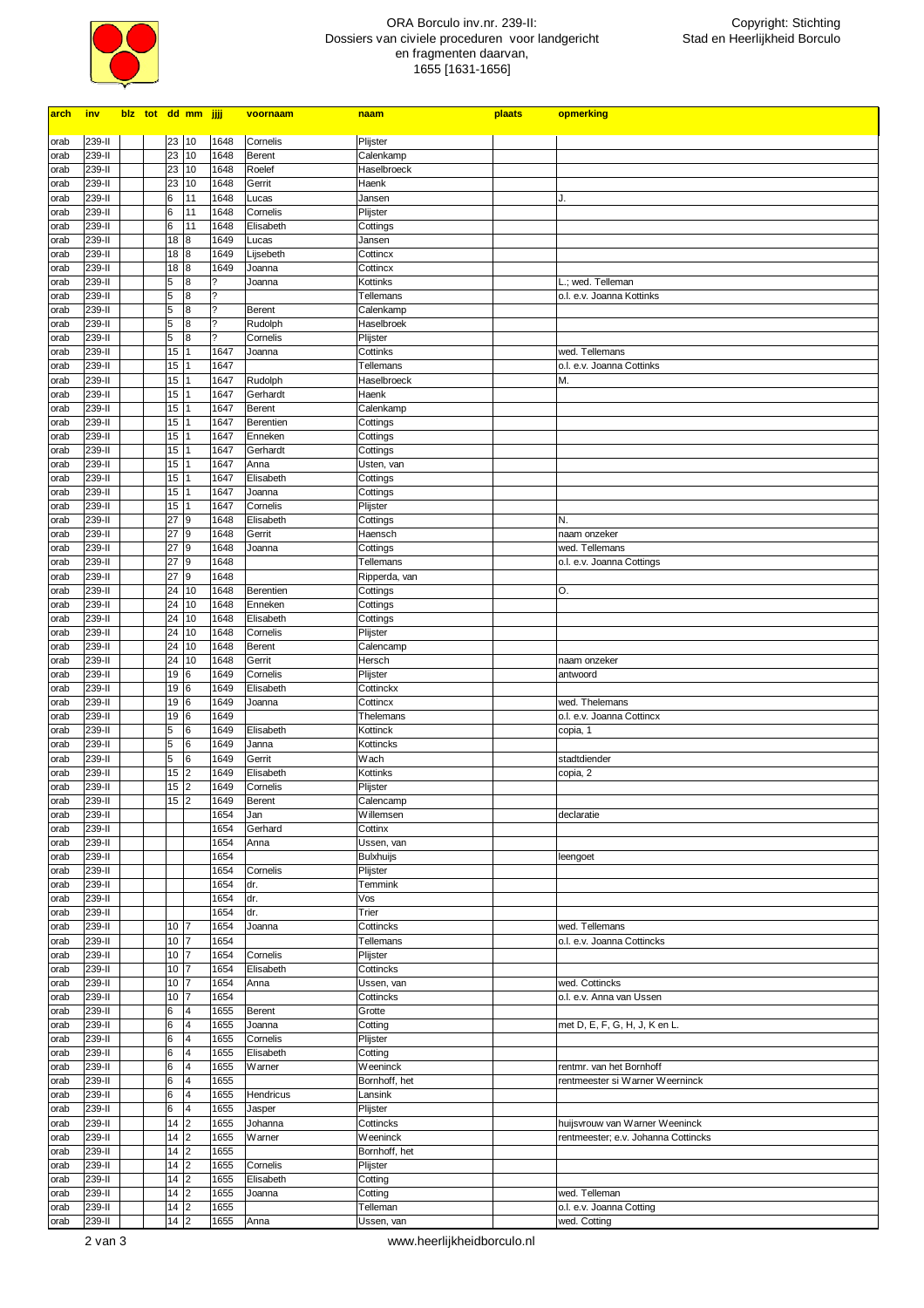

## ORA Borculo inv.nr. 239-II: Dossiers van civiele proceduren voor landgericht en fragmenten daarvan, 1655 [1631-1656]

| <u>arch</u>  | <u>inv</u>       |  |                            | blz tot dd mm jjjj      |                          | voornaam           | naam                     | plaats | opmerking                           |
|--------------|------------------|--|----------------------------|-------------------------|--------------------------|--------------------|--------------------------|--------|-------------------------------------|
|              |                  |  |                            |                         |                          |                    |                          |        |                                     |
| orab         | 239-II<br>239-II |  | 23 10<br>23                | 10                      | 1648<br>1648             | Cornelis<br>Berent | Plijster                 |        |                                     |
| orab         | 239-II           |  | 23                         |                         | 1648                     | Roelef             | Calenkamp<br>Haselbroeck |        |                                     |
| orab         | 239-II           |  | 23                         | 10<br>10                | 1648                     | Gerrit             | Haenk                    |        |                                     |
| orab<br>orab | 239-II           |  | 6                          | 11                      | 1648                     | Lucas              | Jansen                   |        | J.                                  |
| orab         | 239-II           |  | 6                          | 11                      | 1648                     | Cornelis           | Plijster                 |        |                                     |
| orab         | 239-II           |  | 6                          | 11                      | 1648                     | Elisabeth          |                          |        |                                     |
| orab         | 239-II           |  | 18                         | 8                       | 1649                     | Lucas              | Cottings<br>Jansen       |        |                                     |
| orab         | 239-II           |  | 18                         | 8                       | 1649                     | Lijsebeth          | Cottincx                 |        |                                     |
| orab         | 239-II           |  | 18                         | 8                       | 1649                     | Joanna             | Cottincx                 |        |                                     |
| orab         | 239-II           |  | 5                          | 8                       | ?                        | Joanna             | Kottinks                 |        | L.; wed. Telleman                   |
| orab         | 239-II           |  | 5                          | 8                       | $\overline{\phantom{a}}$ |                    | Tellemans                |        | o.l. e.v. Joanna Kottinks           |
| orab         | 239-II           |  | 5                          | 8                       | $\tilde{\mathcal{E}}$    | Berent             | Calenkamp                |        |                                     |
| orab         | 239-II           |  | 5                          | 8                       | ?                        | Rudolph            | Haselbroek               |        |                                     |
| orab         | 239-II           |  | 5                          | 8                       | $\overline{\phantom{a}}$ | Cornelis           | Plijster                 |        |                                     |
| orab         | 239-II           |  | 15                         | 1                       | 1647                     | Joanna             | Cottinks                 |        | wed. Tellemans                      |
| orab         | 239-II           |  | 15                         |                         | 1647                     |                    | Tellemans                |        | o.l. e.v. Joanna Cottinks           |
| orab         | 239-II           |  | 15 <sub>15</sub>           | 1                       | 1647                     | Rudolph            | Haselbroeck              |        | M.                                  |
| orab         | 239-II           |  | 15 <sup>1</sup>            | 1                       | 1647                     | Gerhardt           | Haenk                    |        |                                     |
| orab         | 239-II           |  | 15 1                       |                         | 1647                     | Berent             | Calenkamp                |        |                                     |
| orab         | 239-II           |  | 15                         | 1                       | 1647                     | Berentien          | Cottings                 |        |                                     |
| orab         | 239-II           |  | 15                         |                         | 1647                     | Enneken            | Cottings                 |        |                                     |
| orab         | 239-II           |  | 15 1                       |                         | 1647                     | Gerhardt           | Cottings                 |        |                                     |
| orab         | 239-II           |  | 15 1                       |                         | 1647                     | Anna               | Usten, van               |        |                                     |
| orab         | 239-II           |  | 15 1                       |                         | 1647                     | Elisabeth          | Cottings                 |        |                                     |
| orab         | 239-II           |  | 15 1                       |                         | 1647                     | Joanna             | Cottings                 |        |                                     |
| orab         | 239-II           |  | 15 1                       |                         | 1647                     | Cornelis           | Plijster                 |        |                                     |
| orab         | 239-II           |  | 27 9                       |                         | 1648                     | Elisabeth          | Cottings                 |        | N.                                  |
| orab         | 239-II           |  | 27 9                       |                         | 1648                     | Gerrit             | Haensch                  |        | naam onzeker                        |
| orab         | 239-II           |  | 27 9                       |                         | 1648                     | Joanna             | Cottings                 |        | wed. Tellemans                      |
| orab         | 239-II           |  | 27 9                       |                         | 1648                     |                    | Tellemans                |        | o.l. e.v. Joanna Cottings           |
| orab         | 239-II           |  | 27 9                       |                         | 1648                     |                    | Ripperda, van            |        |                                     |
| orab         | 239-II           |  | 24 10                      |                         | 1648                     | Berentien          | Cottings                 |        | 0.                                  |
| orab         | 239-II           |  | 24 10                      |                         | 1648                     | Enneken            | Cottings                 |        |                                     |
| orab         | 239-II           |  | 24 10                      |                         | 1648                     | Elisabeth          | Cottings                 |        |                                     |
| orab         | 239-II           |  | 24 10                      |                         | 1648                     | Cornelis           | Plijster                 |        |                                     |
| orab         | 239-II           |  | 24 10                      |                         | 1648                     | Berent             | Calencamp                |        |                                     |
| orab         | 239-II           |  | 24 10                      |                         | 1648                     | Gerrit             | Hersch                   |        | naam onzeker                        |
| orab         | 239-II           |  | 19                         | 6                       | 1649                     | Cornelis           | Plijster                 |        | antwoord                            |
| orab         | 239-II           |  | 19 6                       |                         | 1649                     | Elisabeth          | Cottinckx                |        |                                     |
| orab         | 239-II           |  | 19                         | 6                       | 1649                     | Joanna             | Cottincx                 |        | wed. Thelemans                      |
| orab         | 239-II           |  | 19 6                       |                         | 1649                     |                    | Thelemans                |        | o.l. e.v. Joanna Cottincx           |
| orab         | 239-II           |  | 5                          | 6                       | 1649                     | Elisabeth          | Kottinck                 |        | copia, 1                            |
| orab<br>orab | 239-II<br>239-II |  | 5<br>5                     | 6<br>6                  | 1649<br>1649             | Janna<br>Gerrit    | Kottincks<br>Wach        |        | stadtdiender                        |
| orab         | 239-II           |  | $15 \vert 2$               |                         | 1649                     | Elisabeth          | Kottinks                 |        | copia, 2                            |
| orab         | 239-II           |  | 15                         | $\overline{2}$          | 1649                     | Cornelis           | Plijster                 |        |                                     |
| orab         | 239-II           |  | 15 <sub>15</sub>           | 2                       | 1649                     | Berent             | Calencamp                |        |                                     |
| orab         | 239-II           |  |                            |                         | 1654                     | Jan                | Willemsen                |        | declaratie                          |
| orab         | 239-II           |  |                            |                         | 1654                     | Gerhard            | Cottinx                  |        |                                     |
| orab         | 239-II           |  |                            |                         | 1654                     | Anna               | Ussen, van               |        |                                     |
| orab         | 239-II           |  |                            |                         | 1654                     |                    | <b>Bulxhuijs</b>         |        | leengoet                            |
| orab         | 239-II           |  |                            |                         | 1654                     | Cornelis           | Plijster                 |        |                                     |
| orab         | 239-II           |  |                            |                         | 1654                     | dr.                | Temmink                  |        |                                     |
| orab         | 239-II           |  |                            |                         | 1654                     | dr.                | Vos                      |        |                                     |
| orab         | 239-II           |  |                            |                         | 1654                     | dr.                | Trier                    |        |                                     |
| orab         | 239-II           |  | 10                         | 7                       | 1654                     | Joanna             | Cottincks                |        | wed. Tellemans                      |
| orab         | 239-II           |  | 10                         | 17                      | 1654                     |                    | Tellemans                |        | o.l. e.v. Joanna Cottincks          |
| orab         | 239-II           |  | 10                         | 7                       | 1654                     | Cornelis           | Plijster                 |        |                                     |
| orab         | 239-II           |  | 10                         | 7                       | 1654                     | Elisabeth          | Cottincks                |        |                                     |
| orab         | 239-II           |  | 10                         | 7                       | 1654                     | Anna               | Ussen, van               |        | wed. Cottincks                      |
| orab         | 239-II           |  | 10                         | $\overline{7}$          | 1654                     |                    | Cottincks                |        | o.l. e.v. Anna van Ussen            |
| orab         | 239-II           |  | 6<br>6                     | 4<br>$\overline{4}$     | 1655                     | Berent             | Grotte                   |        |                                     |
| orab         | 239-II           |  | 6                          | 4                       | 1655                     | Joanna<br>Cornelis | Cotting                  |        | met D, E, F, G, H, J, K en L.       |
| orab<br>orab | 239-II<br>239-II |  | 6                          | 4                       | 1655<br>1655             | Elisabeth          | Plijster<br>Cotting      |        |                                     |
| orab         | 239-II           |  | 6                          | 4                       | 1655                     | Warner             | Weeninck                 |        | rentmr. van het Bornhoff            |
| orab         | 239-II           |  | 6                          | $\overline{4}$          | 1655                     |                    | Bornhoff, het            |        | rentmeester si Warner Weerninck     |
| orab         | 239-II           |  | 6                          | 4                       | 1655                     | Hendricus          | Lansink                  |        |                                     |
| orab         | 239-II           |  | 6                          | 4                       | 1655                     | Jasper             | Plijster                 |        |                                     |
| orab         | 239-II           |  | 14                         | $\overline{c}$          | 1655                     | Johanna            | Cottincks                |        | huijsvrouw van Warner Weeninck      |
| orab         | 239-II           |  | 14                         | 2                       | 1655                     | Warner             | Weeninck                 |        | rentmeester; e.v. Johanna Cottincks |
| orab         | 239-II           |  | 14                         | $\overline{\mathbf{c}}$ | 1655                     |                    | Bornhoff, het            |        |                                     |
| orab         | 239-II           |  | $14 \vert 2$               |                         | 1655                     | Cornelis           | Plijster                 |        |                                     |
| orab         | 239-II           |  | 14                         | $\overline{2}$          | 1655                     | Elisabeth          | Cotting                  |        |                                     |
| orab         | 239-II           |  | $14 \vert 2$               |                         | 1655                     | Joanna             | Cotting                  |        | wed. Telleman                       |
| orab         | 239-II           |  | $14 \overline{\smash{)}2}$ |                         | 1655                     |                    | Telleman                 |        | o.l. e.v. Joanna Cotting            |
| orab         | 239-II           |  | $14 \vert 2$               |                         | 1655                     | Anna               | Ussen, van               |        | wed. Cotting                        |

2 van 3 www.heerlijkheidborculo.nl